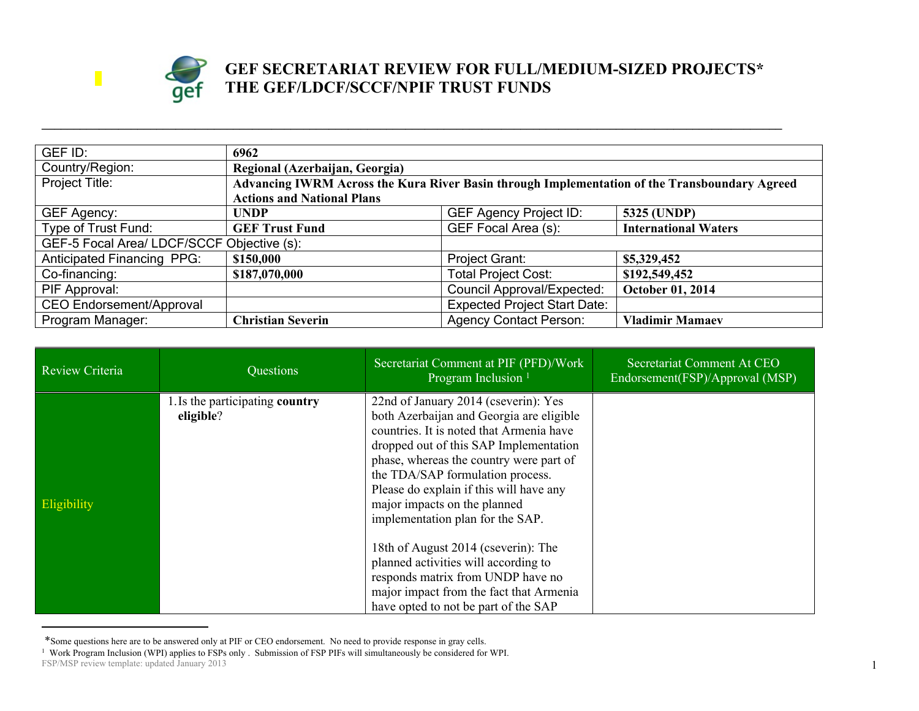

## **GEF SECRETARIAT REVIEW FOR FULL/MEDIUM-SIZED PROJECTS\* THE GEF/LDCF/SCCF/NPIF TRUST FUNDS**

| GEF ID:                                    | 6962                                                                                          |                                     |                             |  |
|--------------------------------------------|-----------------------------------------------------------------------------------------------|-------------------------------------|-----------------------------|--|
| Country/Region:                            | Regional (Azerbaijan, Georgia)                                                                |                                     |                             |  |
| Project Title:                             | Advancing IWRM Across the Kura River Basin through Implementation of the Transboundary Agreed |                                     |                             |  |
|                                            | <b>Actions and National Plans</b>                                                             |                                     |                             |  |
| <b>GEF Agency:</b>                         | <b>UNDP</b>                                                                                   | <b>GEF Agency Project ID:</b>       | 5325 (UNDP)                 |  |
| Type of Trust Fund:                        | <b>GEF Trust Fund</b>                                                                         | GEF Focal Area (s):                 | <b>International Waters</b> |  |
| GEF-5 Focal Area/ LDCF/SCCF Objective (s): |                                                                                               |                                     |                             |  |
| <b>Anticipated Financing PPG:</b>          | \$150,000                                                                                     | <b>Project Grant:</b>               | \$5,329,452                 |  |
| Co-financing:                              | \$187,070,000                                                                                 | <b>Total Project Cost:</b>          | \$192,549,452               |  |
| PIF Approval:                              |                                                                                               | <b>Council Approval/Expected:</b>   | October 01, 2014            |  |
| CEO Endorsement/Approval                   |                                                                                               | <b>Expected Project Start Date:</b> |                             |  |
| Program Manager:                           | <b>Christian Severin</b>                                                                      | <b>Agency Contact Person:</b>       | <b>Vladimir Mamaev</b>      |  |

**\_\_\_\_\_\_\_\_\_\_\_\_\_\_\_\_\_\_\_\_\_\_\_\_\_\_\_\_\_\_\_\_\_\_\_\_\_\_\_\_\_\_\_\_\_\_\_\_\_\_\_\_\_\_\_\_\_\_\_\_\_\_\_\_\_\_\_\_\_\_\_\_\_\_\_\_\_\_\_\_\_\_\_\_\_\_\_\_\_\_\_\_\_\_\_\_\_\_\_\_\_\_\_\_\_\_\_\_\_\_\_\_\_\_\_\_**

| Review Criteria | Questions                                    | Secretariat Comment at PIF (PFD)/Work<br>Program Inclusion <sup>1</sup>                                                                                                                                                                                                                                                                                                                                                                                                                                                             | Secretariat Comment At CEO<br>Endorsement(FSP)/Approval (MSP) |
|-----------------|----------------------------------------------|-------------------------------------------------------------------------------------------------------------------------------------------------------------------------------------------------------------------------------------------------------------------------------------------------------------------------------------------------------------------------------------------------------------------------------------------------------------------------------------------------------------------------------------|---------------------------------------------------------------|
| Eligibility     | 1. Is the participating country<br>eligible? | 22nd of January 2014 (cseverin): Yes<br>both Azerbaijan and Georgia are eligible<br>countries. It is noted that Armenia have<br>dropped out of this SAP Implementation<br>phase, whereas the country were part of<br>the TDA/SAP formulation process.<br>Please do explain if this will have any<br>major impacts on the planned<br>implementation plan for the SAP.<br>18th of August 2014 (cseverin): The<br>planned activities will according to<br>responds matrix from UNDP have no<br>major impact from the fact that Armenia |                                                               |
|                 |                                              | have opted to not be part of the SAP                                                                                                                                                                                                                                                                                                                                                                                                                                                                                                |                                                               |

FSP/MSP review template: updated January 2013 \*Some questions here are to be answered only at PIF or CEO endorsement. No need to provide response in gray cells. 1 Work Program Inclusion (WPI) applies to FSPs only . Submission of FSP PIFs will simultaneously be considered for WPI.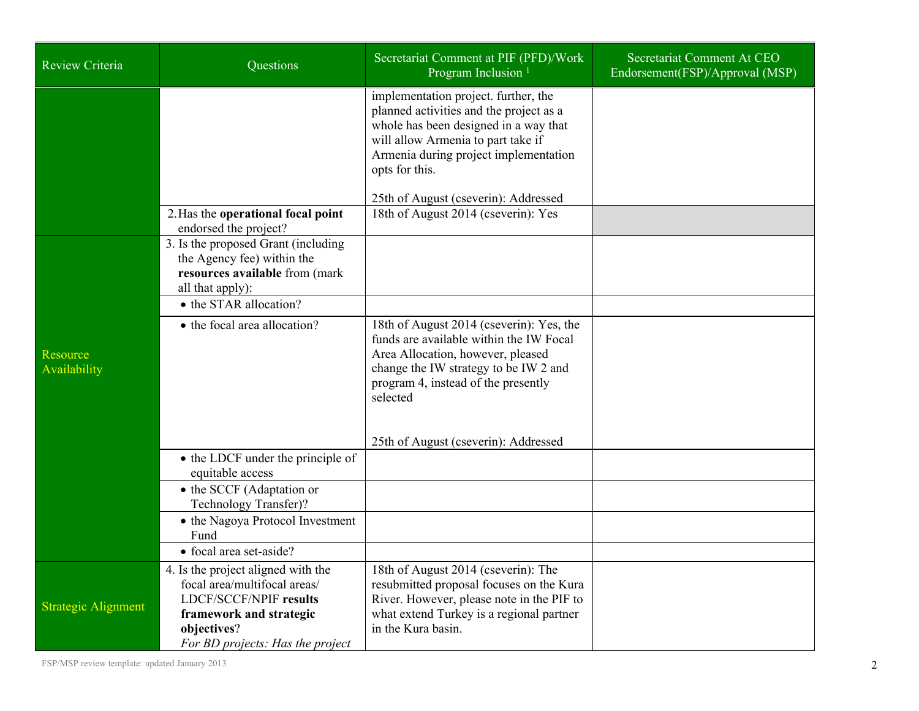| <b>Review Criteria</b>          | <b>Ouestions</b>                                                                                                                                  | Secretariat Comment at PIF (PFD)/Work<br>Program Inclusion <sup>1</sup>                                                                                                                                                                                           | Secretariat Comment At CEO<br>Endorsement(FSP)/Approval (MSP) |
|---------------------------------|---------------------------------------------------------------------------------------------------------------------------------------------------|-------------------------------------------------------------------------------------------------------------------------------------------------------------------------------------------------------------------------------------------------------------------|---------------------------------------------------------------|
|                                 |                                                                                                                                                   | implementation project. further, the<br>planned activities and the project as a<br>whole has been designed in a way that<br>will allow Armenia to part take if<br>Armenia during project implementation<br>opts for this.<br>25th of August (cseverin): Addressed |                                                               |
|                                 | 2. Has the operational focal point<br>endorsed the project?                                                                                       | 18th of August 2014 (cseverin): Yes                                                                                                                                                                                                                               |                                                               |
|                                 | 3. Is the proposed Grant (including<br>the Agency fee) within the<br>resources available from (mark<br>all that apply):<br>• the STAR allocation? |                                                                                                                                                                                                                                                                   |                                                               |
|                                 | • the focal area allocation?                                                                                                                      | 18th of August 2014 (cseverin): Yes, the                                                                                                                                                                                                                          |                                                               |
| <b>Resource</b><br>Availability |                                                                                                                                                   | funds are available within the IW Focal<br>Area Allocation, however, pleased<br>change the IW strategy to be IW 2 and<br>program 4, instead of the presently<br>selected                                                                                          |                                                               |
|                                 |                                                                                                                                                   | 25th of August (cseverin): Addressed                                                                                                                                                                                                                              |                                                               |
|                                 | • the LDCF under the principle of<br>equitable access                                                                                             |                                                                                                                                                                                                                                                                   |                                                               |
|                                 | • the SCCF (Adaptation or<br>Technology Transfer)?                                                                                                |                                                                                                                                                                                                                                                                   |                                                               |
|                                 | • the Nagoya Protocol Investment<br>Fund                                                                                                          |                                                                                                                                                                                                                                                                   |                                                               |
|                                 | • focal area set-aside?                                                                                                                           |                                                                                                                                                                                                                                                                   |                                                               |
| <b>Strategic Alignment</b>      | 4. Is the project aligned with the<br>focal area/multifocal areas/<br><b>LDCF/SCCF/NPIF results</b><br>framework and strategic<br>objectives?     | 18th of August 2014 (cseverin): The<br>resubmitted proposal focuses on the Kura<br>River. However, please note in the PIF to<br>what extend Turkey is a regional partner<br>in the Kura basin.                                                                    |                                                               |
|                                 | For BD projects: Has the project                                                                                                                  |                                                                                                                                                                                                                                                                   |                                                               |

FSP/MSP review template: updated January 2013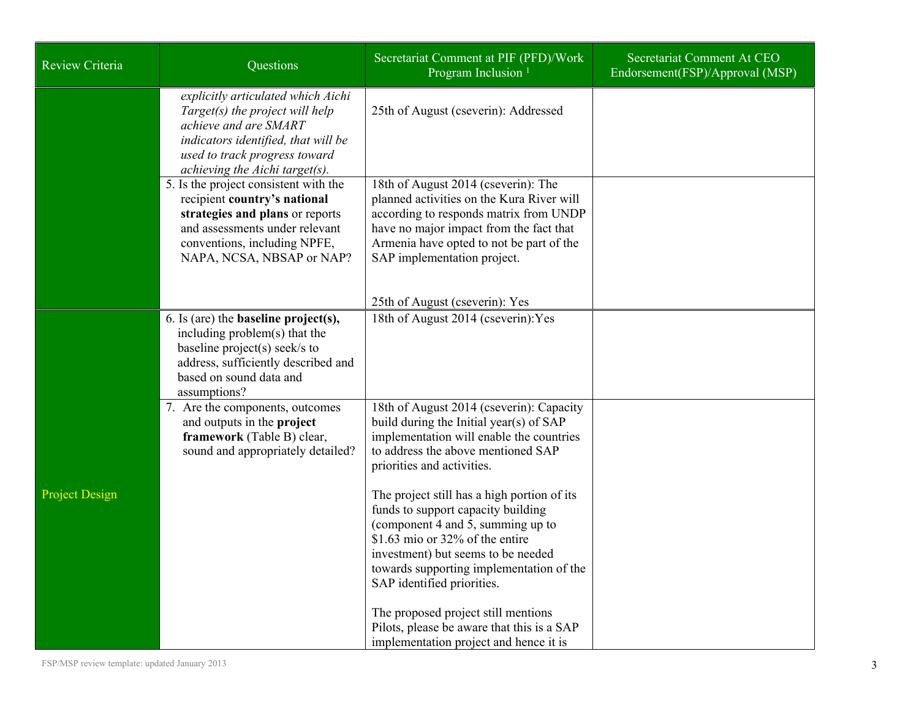| Review Criteria       | Questions                                                                                                                                                                                                | Secretariat Comment at PIF (PFD)/Work<br>Program Inclusion <sup>1</sup>                                                                                                                                                                                                      | Secretariat Comment At CEO<br>Endorsement(FSP)/Approval (MSP) |
|-----------------------|----------------------------------------------------------------------------------------------------------------------------------------------------------------------------------------------------------|------------------------------------------------------------------------------------------------------------------------------------------------------------------------------------------------------------------------------------------------------------------------------|---------------------------------------------------------------|
|                       | explicitly articulated which Aichi<br>Target(s) the project will help<br>achieve and are SMART<br>indicators identified, that will be<br>used to track progress toward<br>achieving the Aichi target(s). | 25th of August (cseverin): Addressed                                                                                                                                                                                                                                         |                                                               |
|                       | 5. Is the project consistent with the<br>recipient country's national<br>strategies and plans or reports<br>and assessments under relevant<br>conventions, including NPFE,<br>NAPA, NCSA, NBSAP or NAP?  | 18th of August 2014 (cseverin): The<br>planned activities on the Kura River will<br>according to responds matrix from UNDP<br>have no major impact from the fact that<br>Armenia have opted to not be part of the<br>SAP implementation project.                             |                                                               |
|                       | 6. Is (are) the <b>baseline</b> $project(s)$ ,                                                                                                                                                           | 25th of August (cseverin): Yes<br>18th of August 2014 (cseverin): Yes                                                                                                                                                                                                        |                                                               |
|                       | including problem(s) that the<br>baseline project(s) seek/s to<br>address, sufficiently described and<br>based on sound data and<br>assumptions?                                                         |                                                                                                                                                                                                                                                                              |                                                               |
|                       | 7. Are the components, outcomes<br>and outputs in the project<br>framework (Table B) clear,<br>sound and appropriately detailed?                                                                         | 18th of August 2014 (cseverin): Capacity<br>build during the Initial year(s) of SAP<br>implementation will enable the countries<br>to address the above mentioned SAP<br>priorities and activities.                                                                          |                                                               |
| <b>Project Design</b> |                                                                                                                                                                                                          | The project still has a high portion of its<br>funds to support capacity building<br>(component 4 and 5, summing up to<br>\$1.63 mio or $32\%$ of the entire<br>investment) but seems to be needed<br>towards supporting implementation of the<br>SAP identified priorities. |                                                               |
|                       |                                                                                                                                                                                                          | The proposed project still mentions<br>Pilots, please be aware that this is a SAP<br>implementation project and hence it is                                                                                                                                                  |                                                               |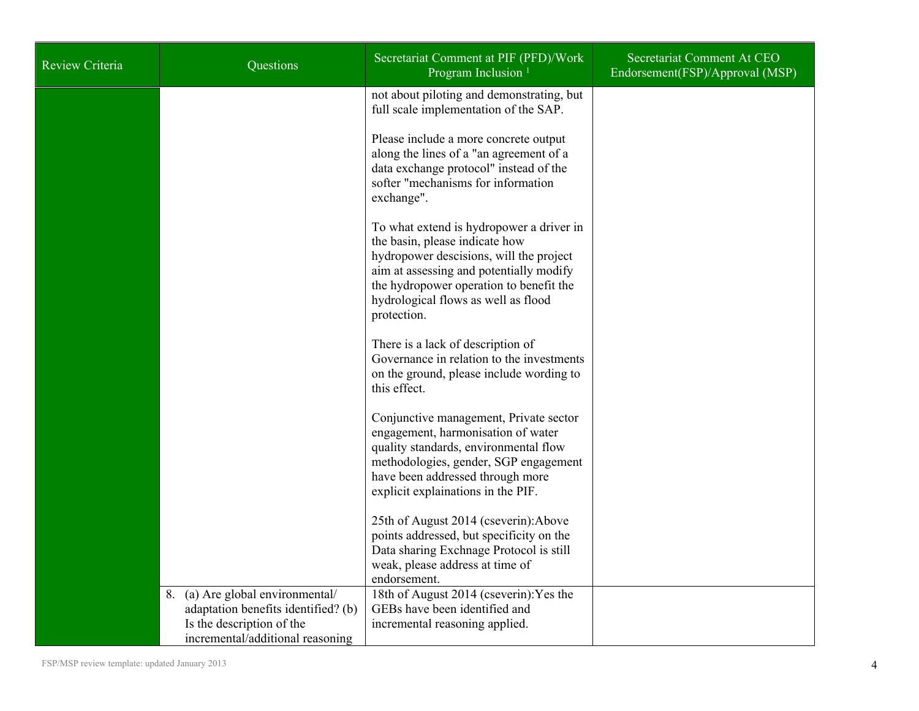| Review Criteria | Questions                                                                                                                                | Secretariat Comment at PIF (PFD)/Work<br>Program Inclusion <sup>1</sup>                                                                                                                                                                                           | Secretariat Comment At CEO<br>Endorsement(FSP)/Approval (MSP) |
|-----------------|------------------------------------------------------------------------------------------------------------------------------------------|-------------------------------------------------------------------------------------------------------------------------------------------------------------------------------------------------------------------------------------------------------------------|---------------------------------------------------------------|
|                 |                                                                                                                                          | not about piloting and demonstrating, but<br>full scale implementation of the SAP.                                                                                                                                                                                |                                                               |
|                 |                                                                                                                                          | Please include a more concrete output<br>along the lines of a "an agreement of a<br>data exchange protocol" instead of the<br>softer "mechanisms for information<br>exchange".                                                                                    |                                                               |
|                 |                                                                                                                                          | To what extend is hydropower a driver in<br>the basin, please indicate how<br>hydropower descisions, will the project<br>aim at assessing and potentially modify<br>the hydropower operation to benefit the<br>hydrological flows as well as flood<br>protection. |                                                               |
|                 |                                                                                                                                          | There is a lack of description of<br>Governance in relation to the investments<br>on the ground, please include wording to<br>this effect.                                                                                                                        |                                                               |
|                 |                                                                                                                                          | Conjunctive management, Private sector<br>engagement, harmonisation of water<br>quality standards, environmental flow<br>methodologies, gender, SGP engagement<br>have been addressed through more<br>explicit explainations in the PIF.                          |                                                               |
|                 |                                                                                                                                          | 25th of August 2014 (cseverin): Above<br>points addressed, but specificity on the<br>Data sharing Exchnage Protocol is still<br>weak, please address at time of<br>endorsement.                                                                                   |                                                               |
|                 | 8. (a) Are global environmental/<br>adaptation benefits identified? (b)<br>Is the description of the<br>incremental/additional reasoning | 18th of August 2014 (cseverin): Yes the<br>GEBs have been identified and<br>incremental reasoning applied.                                                                                                                                                        |                                                               |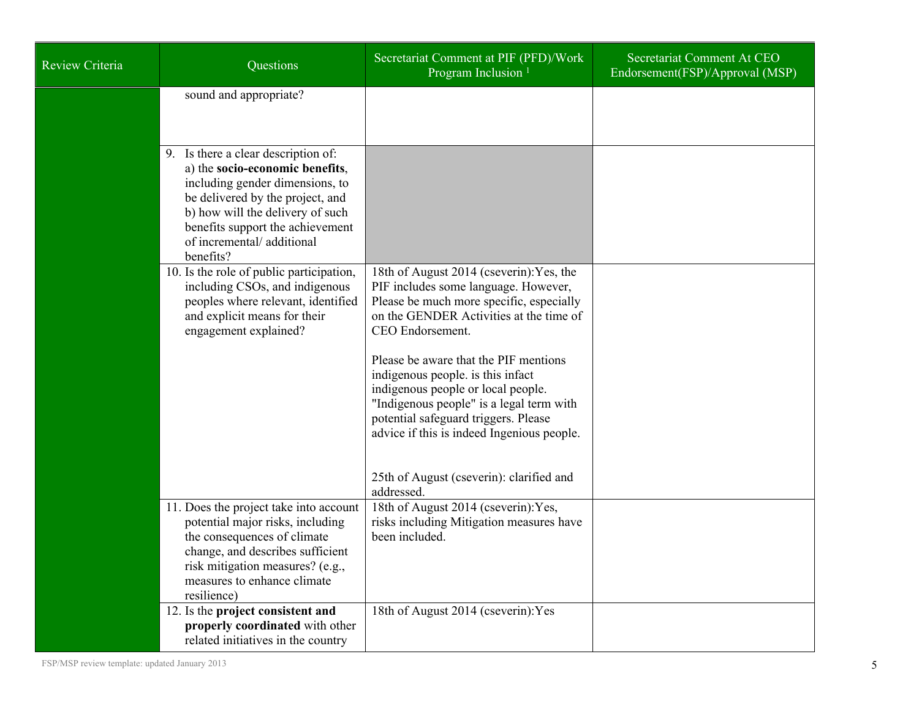| Review Criteria | Questions                                                                                                                                                                                                                                                       | Secretariat Comment at PIF (PFD)/Work<br>Program Inclusion <sup>1</sup>                                                                                                                                                                                                                                                                                                                                                                                                                                     | Secretariat Comment At CEO<br>Endorsement(FSP)/Approval (MSP) |
|-----------------|-----------------------------------------------------------------------------------------------------------------------------------------------------------------------------------------------------------------------------------------------------------------|-------------------------------------------------------------------------------------------------------------------------------------------------------------------------------------------------------------------------------------------------------------------------------------------------------------------------------------------------------------------------------------------------------------------------------------------------------------------------------------------------------------|---------------------------------------------------------------|
|                 | sound and appropriate?                                                                                                                                                                                                                                          |                                                                                                                                                                                                                                                                                                                                                                                                                                                                                                             |                                                               |
|                 | 9. Is there a clear description of:<br>a) the socio-economic benefits,<br>including gender dimensions, to<br>be delivered by the project, and<br>b) how will the delivery of such<br>benefits support the achievement<br>of incremental/additional<br>benefits? |                                                                                                                                                                                                                                                                                                                                                                                                                                                                                                             |                                                               |
|                 | 10. Is the role of public participation,<br>including CSOs, and indigenous<br>peoples where relevant, identified<br>and explicit means for their<br>engagement explained?                                                                                       | 18th of August 2014 (cseverin): Yes, the<br>PIF includes some language. However,<br>Please be much more specific, especially<br>on the GENDER Activities at the time of<br>CEO Endorsement.<br>Please be aware that the PIF mentions<br>indigenous people. is this infact<br>indigenous people or local people.<br>"Indigenous people" is a legal term with<br>potential safeguard triggers. Please<br>advice if this is indeed Ingenious people.<br>25th of August (cseverin): clarified and<br>addressed. |                                                               |
|                 | 11. Does the project take into account<br>potential major risks, including<br>the consequences of climate<br>change, and describes sufficient<br>risk mitigation measures? (e.g.,<br>measures to enhance climate<br>resilience)                                 | 18th of August 2014 (cseverin): Yes,<br>risks including Mitigation measures have<br>been included.                                                                                                                                                                                                                                                                                                                                                                                                          |                                                               |
|                 | 12. Is the project consistent and<br>properly coordinated with other<br>related initiatives in the country                                                                                                                                                      | 18th of August 2014 (cseverin): Yes                                                                                                                                                                                                                                                                                                                                                                                                                                                                         |                                                               |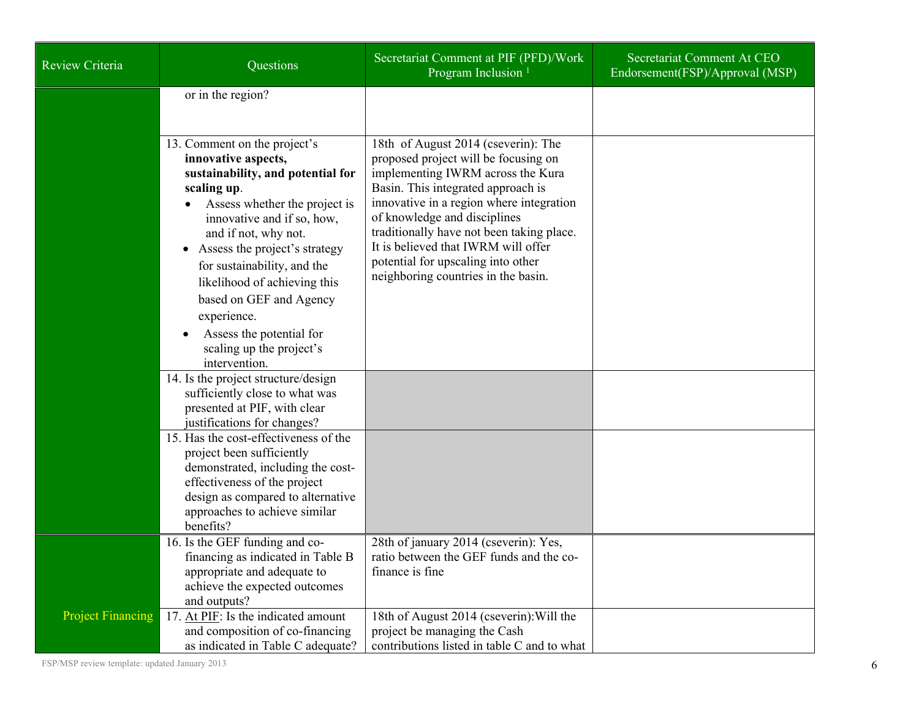| <b>Review Criteria</b>   | Questions                                                                                                                                                                                                                                                                                                                                                                                                         | Secretariat Comment at PIF (PFD)/Work<br>Program Inclusion <sup>1</sup>                                                                                                                                                                                                                                                                                                                             | Secretariat Comment At CEO<br>Endorsement(FSP)/Approval (MSP) |
|--------------------------|-------------------------------------------------------------------------------------------------------------------------------------------------------------------------------------------------------------------------------------------------------------------------------------------------------------------------------------------------------------------------------------------------------------------|-----------------------------------------------------------------------------------------------------------------------------------------------------------------------------------------------------------------------------------------------------------------------------------------------------------------------------------------------------------------------------------------------------|---------------------------------------------------------------|
|                          | or in the region?                                                                                                                                                                                                                                                                                                                                                                                                 |                                                                                                                                                                                                                                                                                                                                                                                                     |                                                               |
|                          | 13. Comment on the project's<br>innovative aspects,<br>sustainability, and potential for<br>scaling up.<br>Assess whether the project is<br>innovative and if so, how,<br>and if not, why not.<br>Assess the project's strategy<br>for sustainability, and the<br>likelihood of achieving this<br>based on GEF and Agency<br>experience.<br>Assess the potential for<br>scaling up the project's<br>intervention. | 18th of August 2014 (cseverin): The<br>proposed project will be focusing on<br>implementing IWRM across the Kura<br>Basin. This integrated approach is<br>innovative in a region where integration<br>of knowledge and disciplines<br>traditionally have not been taking place.<br>It is believed that IWRM will offer<br>potential for upscaling into other<br>neighboring countries in the basin. |                                                               |
|                          | 14. Is the project structure/design<br>sufficiently close to what was<br>presented at PIF, with clear<br>justifications for changes?                                                                                                                                                                                                                                                                              |                                                                                                                                                                                                                                                                                                                                                                                                     |                                                               |
|                          | 15. Has the cost-effectiveness of the<br>project been sufficiently<br>demonstrated, including the cost-<br>effectiveness of the project<br>design as compared to alternative<br>approaches to achieve similar<br>benefits?                                                                                                                                                                                        |                                                                                                                                                                                                                                                                                                                                                                                                     |                                                               |
|                          | 16. Is the GEF funding and co-<br>financing as indicated in Table B<br>appropriate and adequate to<br>achieve the expected outcomes<br>and outputs?                                                                                                                                                                                                                                                               | 28th of january 2014 (cseverin): Yes,<br>ratio between the GEF funds and the co-<br>finance is fine                                                                                                                                                                                                                                                                                                 |                                                               |
| <b>Project Financing</b> | 17. At PIF: Is the indicated amount<br>and composition of co-financing<br>as indicated in Table C adequate?                                                                                                                                                                                                                                                                                                       | 18th of August 2014 (cseverin): Will the<br>project be managing the Cash<br>contributions listed in table C and to what                                                                                                                                                                                                                                                                             |                                                               |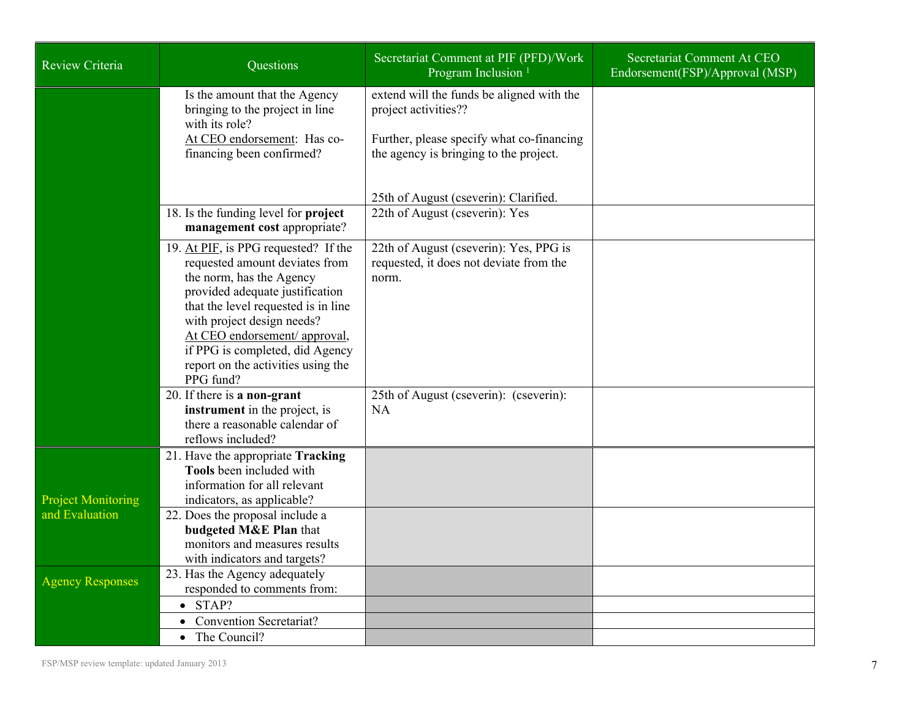| <b>Review Criteria</b>    | Questions                                                                                                                                                                                                                                                                                                                         | Secretariat Comment at PIF (PFD)/Work<br>Program Inclusion <sup>1</sup>                                                                                  | Secretariat Comment At CEO<br>Endorsement(FSP)/Approval (MSP) |
|---------------------------|-----------------------------------------------------------------------------------------------------------------------------------------------------------------------------------------------------------------------------------------------------------------------------------------------------------------------------------|----------------------------------------------------------------------------------------------------------------------------------------------------------|---------------------------------------------------------------|
|                           | Is the amount that the Agency<br>bringing to the project in line<br>with its role?<br>At CEO endorsement: Has co-<br>financing been confirmed?                                                                                                                                                                                    | extend will the funds be aligned with the<br>project activities??<br>Further, please specify what co-financing<br>the agency is bringing to the project. |                                                               |
|                           | 18. Is the funding level for project<br>management cost appropriate?                                                                                                                                                                                                                                                              | 25th of August (cseverin): Clarified.<br>22th of August (cseverin): Yes                                                                                  |                                                               |
|                           | 19. At PIF, is PPG requested? If the<br>requested amount deviates from<br>the norm, has the Agency<br>provided adequate justification<br>that the level requested is in line<br>with project design needs?<br>At CEO endorsement/ approval,<br>if PPG is completed, did Agency<br>report on the activities using the<br>PPG fund? | 22th of August (cseverin): Yes, PPG is<br>requested, it does not deviate from the<br>norm.                                                               |                                                               |
|                           | 20. If there is a non-grant<br>instrument in the project, is<br>there a reasonable calendar of<br>reflows included?                                                                                                                                                                                                               | 25th of August (cseverin): (cseverin):<br><b>NA</b>                                                                                                      |                                                               |
| <b>Project Monitoring</b> | 21. Have the appropriate Tracking<br>Tools been included with<br>information for all relevant<br>indicators, as applicable?                                                                                                                                                                                                       |                                                                                                                                                          |                                                               |
| and Evaluation            | 22. Does the proposal include a<br>budgeted M&E Plan that<br>monitors and measures results<br>with indicators and targets?                                                                                                                                                                                                        |                                                                                                                                                          |                                                               |
| <b>Agency Responses</b>   | 23. Has the Agency adequately<br>responded to comments from:                                                                                                                                                                                                                                                                      |                                                                                                                                                          |                                                               |
|                           | $\bullet$ STAP?                                                                                                                                                                                                                                                                                                                   |                                                                                                                                                          |                                                               |
|                           | <b>Convention Secretariat?</b>                                                                                                                                                                                                                                                                                                    |                                                                                                                                                          |                                                               |
|                           | The Council?                                                                                                                                                                                                                                                                                                                      |                                                                                                                                                          |                                                               |